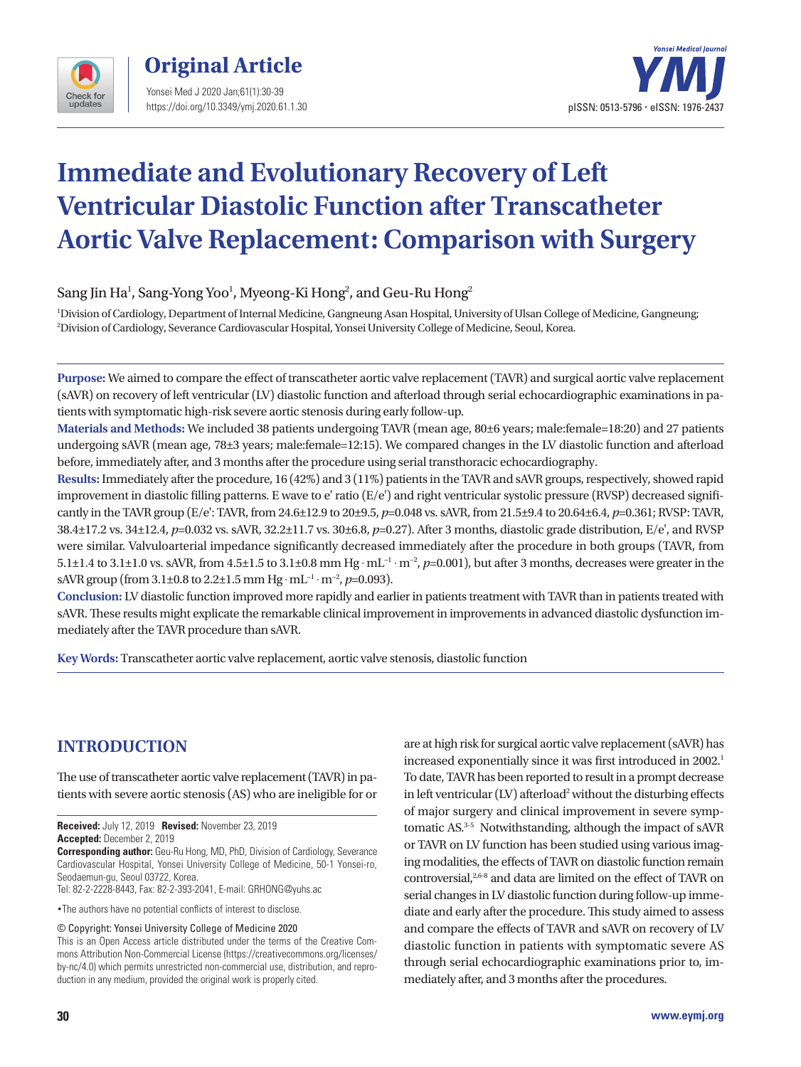



# **Immediate and Evolutionary Recovery of Left Ventricular Diastolic Function after Transcatheter Aortic Valve Replacement: Comparison with Surgery**

Sang Jin Ha<sup>1</sup>, Sang-Yong Yoo<sup>1</sup>, Myeong-Ki Hong<sup>2</sup>, and Geu-Ru Hong<sup>2</sup>

1 Division of Cardiology, Department of Internal Medicine, Gangneung Asan Hospital, University of Ulsan College of Medicine, Gangneung; 2 Division of Cardiology, Severance Cardiovascular Hospital, Yonsei University College of Medicine, Seoul, Korea.

**Purpose:** We aimed to compare the effect of transcatheter aortic valve replacement (TAVR) and surgical aortic valve replacement (sAVR) on recovery of left ventricular (LV) diastolic function and afterload through serial echocardiographic examinations in patients with symptomatic high-risk severe aortic stenosis during early follow-up.

**Materials and Methods:** We included 38 patients undergoing TAVR (mean age, 80±6 years; male:female=18:20) and 27 patients undergoing sAVR (mean age, 78±3 years; male:female=12:15). We compared changes in the LV diastolic function and afterload before, immediately after, and 3 months after the procedure using serial transthoracic echocardiography.

**Results:** Immediately after the procedure, 16 (42%) and 3 (11%) patients in the TAVR and sAVR groups, respectively, showed rapid improvement in diastolic filling patterns. E wave to e' ratio (E/e') and right ventricular systolic pressure (RVSP) decreased significantly in the TAVR group (E/e': TAVR, from 24.6±12.9 to 20±9.5, *p*=0.048 vs. sAVR, from 21.5±9.4 to 20.64±6.4, *p*=0.361; RVSP: TAVR, 38.4±17.2 vs. 34±12.4, *p*=0.032 vs. sAVR, 32.2±11.7 vs. 30±6.8, *p*=0.27). After 3 months, diastolic grade distribution, E/e', and RVSP were similar. Valvuloarterial impedance significantly decreased immediately after the procedure in both groups (TAVR, from 5.1±1.4 to 3.1±1.0 vs. sAVR, from 4.5±1.5 to 3.1±0.8 mm Hg . mL−1 . m−2, *p*=0.001), but after 3 months, decreases were greater in the sAVR group (from 3.1±0.8 to 2.2±1.5 mm Hg  $\cdot$  mL<sup>-1</sup>  $\cdot$  m<sup>-2</sup>, *p*=0.093).

**Conclusion:** LV diastolic function improved more rapidly and earlier in patients treatment with TAVR than in patients treated with sAVR. These results might explicate the remarkable clinical improvement in improvements in advanced diastolic dysfunction immediately after the TAVR procedure than sAVR.

**Key Words:** Transcatheter aortic valve replacement, aortic valve stenosis, diastolic function

# **INTRODUCTION**

The use of transcatheter aortic valve replacement (TAVR) in patients with severe aortic stenosis (AS) who are ineligible for or

**Received:** July 12, 2019 **Revised:** November 23, 2019 **Accepted:** December 2, 2019

**Corresponding author:** Geu-Ru Hong, MD, PhD, Division of Cardiology, Severance Cardiovascular Hospital, Yonsei University College of Medicine, 50-1 Yonsei-ro, Seodaemun-gu, Seoul 03722, Korea.

Tel: 82-2-2228-8443, Fax: 82-2-393-2041, E-mail: GRHONG@yuhs.ac

•The authors have no potential conflicts of interest to disclose.

© Copyright: Yonsei University College of Medicine 2020

This is an Open Access article distributed under the terms of the Creative Commons Attribution Non-Commercial License (https://creativecommons.org/licenses/ by-nc/4.0) which permits unrestricted non-commercial use, distribution, and reproduction in any medium, provided the original work is properly cited.

are at high risk for surgical aortic valve replacement (sAVR) has increased exponentially since it was first introduced in 2002.<sup>1</sup> To date, TAVR has been reported to result in a prompt decrease in left ventricular (LV) afterload<sup>2</sup> without the disturbing effects of major surgery and clinical improvement in severe symptomatic AS.3-5 Notwithstanding, although the impact of sAVR or TAVR on LV function has been studied using various imaging modalities, the effects of TAVR on diastolic function remain controversial,<sup>2,6-8</sup> and data are limited on the effect of TAVR on serial changes in LV diastolic function during follow-up immediate and early after the procedure. This study aimed to assess and compare the effects of TAVR and sAVR on recovery of LV diastolic function in patients with symptomatic severe AS through serial echocardiographic examinations prior to, immediately after, and 3 months after the procedures.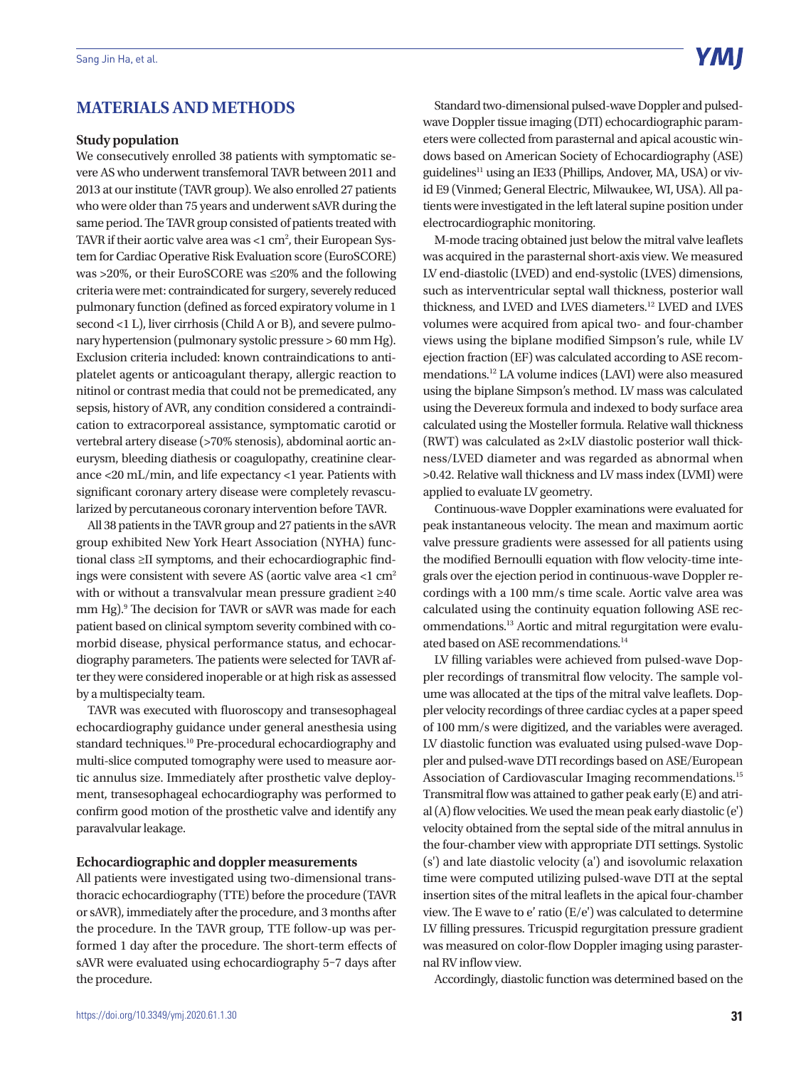# **MATERIALS AND METHODS**

#### **Study population**

We consecutively enrolled 38 patients with symptomatic severe AS who underwent transfemoral TAVR between 2011 and 2013 at our institute (TAVR group). We also enrolled 27 patients who were older than 75 years and underwent sAVR during the same period. The TAVR group consisted of patients treated with TAVR if their aortic valve area was  $<$ 1 cm², their European System for Cardiac Operative Risk Evaluation score (EuroSCORE) was >20%, or their EuroSCORE was ≤20% and the following criteria were met: contraindicated for surgery, severely reduced pulmonary function (defined as forced expiratory volume in 1 second <1 L), liver cirrhosis (Child A or B), and severe pulmonary hypertension (pulmonary systolic pressure > 60 mm Hg). Exclusion criteria included: known contraindications to antiplatelet agents or anticoagulant therapy, allergic reaction to nitinol or contrast media that could not be premedicated, any sepsis, history of AVR, any condition considered a contraindication to extracorporeal assistance, symptomatic carotid or vertebral artery disease (>70% stenosis), abdominal aortic aneurysm, bleeding diathesis or coagulopathy, creatinine clearance <20 mL/min, and life expectancy <1 year. Patients with significant coronary artery disease were completely revascularized by percutaneous coronary intervention before TAVR.

All 38 patients in the TAVR group and 27 patients in the sAVR group exhibited New York Heart Association (NYHA) functional class ≥II symptoms, and their echocardiographic findings were consistent with severe AS (aortic valve area <1 cm2 with or without a transvalvular mean pressure gradient ≥40 mm Hg).<sup>9</sup> The decision for TAVR or sAVR was made for each patient based on clinical symptom severity combined with comorbid disease, physical performance status, and echocardiography parameters. The patients were selected for TAVR after they were considered inoperable or at high risk as assessed by a multispecialty team.

TAVR was executed with fluoroscopy and transesophageal echocardiography guidance under general anesthesia using standard techniques.10 Pre-procedural echocardiography and multi-slice computed tomography were used to measure aortic annulus size. Immediately after prosthetic valve deployment, transesophageal echocardiography was performed to confirm good motion of the prosthetic valve and identify any paravalvular leakage.

## **Echocardiographic and doppler measurements**

All patients were investigated using two-dimensional transthoracic echocardiography (TTE) before the procedure (TAVR or sAVR), immediately after the procedure, and 3 months after the procedure. In the TAVR group, TTE follow-up was performed 1 day after the procedure. The short-term effects of sAVR were evaluated using echocardiography 5–7 days after the procedure.

Standard two-dimensional pulsed-wave Doppler and pulsedwave Doppler tissue imaging (DTI) echocardiographic parameters were collected from parasternal and apical acoustic windows based on American Society of Echocardiography (ASE) guidelines<sup>11</sup> using an IE33 (Phillips, Andover, MA, USA) or vivid E9 (Vinmed; General Electric, Milwaukee, WI, USA). All patients were investigated in the left lateral supine position under electrocardiographic monitoring.

M-mode tracing obtained just below the mitral valve leaflets was acquired in the parasternal short-axis view. We measured LV end-diastolic (LVED) and end-systolic (LVES) dimensions, such as interventricular septal wall thickness, posterior wall thickness, and LVED and LVES diameters.12 LVED and LVES volumes were acquired from apical two- and four-chamber views using the biplane modified Simpson's rule, while LV ejection fraction (EF) was calculated according to ASE recommendations.12 LA volume indices (LAVI) were also measured using the biplane Simpson's method. LV mass was calculated using the Devereux formula and indexed to body surface area calculated using the Mosteller formula. Relative wall thickness (RWT) was calculated as 2×LV diastolic posterior wall thickness/LVED diameter and was regarded as abnormal when >0.42. Relative wall thickness and LV mass index (LVMI) were applied to evaluate LV geometry.

Continuous-wave Doppler examinations were evaluated for peak instantaneous velocity. The mean and maximum aortic valve pressure gradients were assessed for all patients using the modified Bernoulli equation with flow velocity-time integrals over the ejection period in continuous-wave Doppler recordings with a 100 mm/s time scale. Aortic valve area was calculated using the continuity equation following ASE recommendations.13 Aortic and mitral regurgitation were evaluated based on ASE recommendations.<sup>14</sup>

LV filling variables were achieved from pulsed-wave Doppler recordings of transmitral flow velocity. The sample volume was allocated at the tips of the mitral valve leaflets. Doppler velocity recordings of three cardiac cycles at a paper speed of 100 mm/s were digitized, and the variables were averaged. LV diastolic function was evaluated using pulsed-wave Doppler and pulsed-wave DTI recordings based on ASE/European Association of Cardiovascular Imaging recommendations.<sup>15</sup> Transmitral flow was attained to gather peak early (E) and atrial (A) flow velocities. We used the mean peak early diastolic (e') velocity obtained from the septal side of the mitral annulus in the four-chamber view with appropriate DTI settings. Systolic (s') and late diastolic velocity (a') and isovolumic relaxation time were computed utilizing pulsed-wave DTI at the septal insertion sites of the mitral leaflets in the apical four-chamber view. The E wave to e' ratio (E/e') was calculated to determine LV filling pressures. Tricuspid regurgitation pressure gradient was measured on color-flow Doppler imaging using parasternal RV inflow view.

Accordingly, diastolic function was determined based on the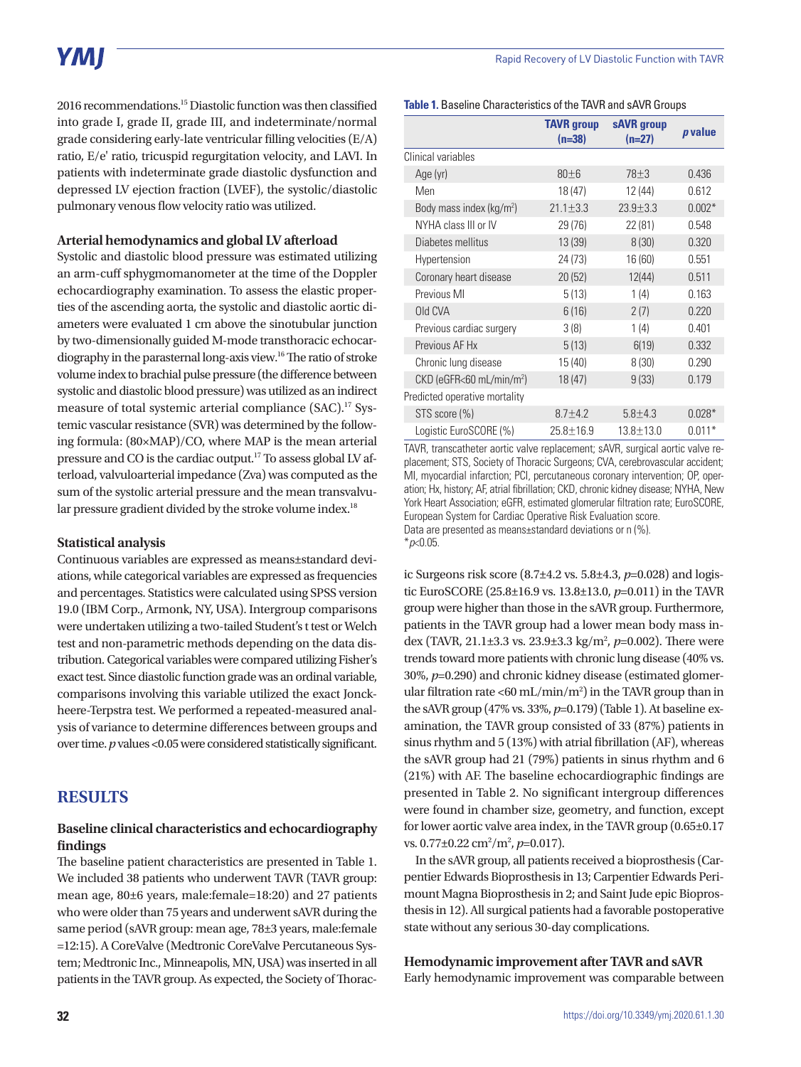# YMI

2016 recommendations.15 Diastolic function was then classified into grade I, grade II, grade III, and indeterminate/normal grade considering early-late ventricular filling velocities (E/A) ratio, E/e' ratio, tricuspid regurgitation velocity, and LAVI. In patients with indeterminate grade diastolic dysfunction and depressed LV ejection fraction (LVEF), the systolic/diastolic pulmonary venous flow velocity ratio was utilized.

## **Arterial hemodynamics and global LV afterload**

Systolic and diastolic blood pressure was estimated utilizing an arm-cuff sphygmomanometer at the time of the Doppler echocardiography examination. To assess the elastic properties of the ascending aorta, the systolic and diastolic aortic diameters were evaluated 1 cm above the sinotubular junction by two-dimensionally guided M-mode transthoracic echocardiography in the parasternal long-axis view.16 The ratio of stroke volume index to brachial pulse pressure (the difference between systolic and diastolic blood pressure) was utilized as an indirect measure of total systemic arterial compliance (SAC).<sup>17</sup> Systemic vascular resistance (SVR) was determined by the following formula: (80×MAP)/CO, where MAP is the mean arterial pressure and CO is the cardiac output.17 To assess global LV afterload, valvuloarterial impedance (Zva) was computed as the sum of the systolic arterial pressure and the mean transvalvular pressure gradient divided by the stroke volume index.<sup>18</sup>

## **Statistical analysis**

Continuous variables are expressed as means±standard deviations, while categorical variables are expressed as frequencies and percentages. Statistics were calculated using SPSS version 19.0 (IBM Corp., Armonk, NY, USA). Intergroup comparisons were undertaken utilizing a two-tailed Student's t test or Welch test and non-parametric methods depending on the data distribution. Categorical variables were compared utilizing Fisher's exact test. Since diastolic function grade was an ordinal variable, comparisons involving this variable utilized the exact Jonckheere-Terpstra test. We performed a repeated-measured analysis of variance to determine differences between groups and over time. *p* values <0.05 were considered statistically significant.

# **RESULTS**

# **Baseline clinical characteristics and echocardiography findings**

The baseline patient characteristics are presented in Table 1. We included 38 patients who underwent TAVR (TAVR group: mean age, 80±6 years, male:female=18:20) and 27 patients who were older than 75 years and underwent sAVR during the same period (sAVR group: mean age, 78±3 years, male:female =12:15). A CoreValve (Medtronic CoreValve Percutaneous System; Medtronic Inc., Minneapolis, MN, USA) was inserted in all patients in the TAVR group. As expected, the Society of Thorac-

|  | Table 1. Baseline Characteristics of the TAVR and sAVR Groups |  |  |
|--|---------------------------------------------------------------|--|--|
|  |                                                               |  |  |

|                                        | <b>TAVR</b> group<br>$(n=38)$ | sAVR group<br>$(n=27)$ | <i>p</i> value |
|----------------------------------------|-------------------------------|------------------------|----------------|
| Clinical variables                     |                               |                        |                |
| Age (yr)                               | 80±6                          | 78 <sub>±3</sub>       | 0.436          |
| Men                                    | 18 (47)                       | 12 (44)                | 0.612          |
| Body mass index (kg/m <sup>2</sup> )   | $21.1 \pm 3.3$                | $23.9 + 3.3$           | $0.002*$       |
| NYHA class III or IV                   | 29 (76)                       | 22 (81)                | 0.548          |
| Diabetes mellitus                      | 13 (39)                       | 8(30)                  | 0.320          |
| Hypertension                           | 24 (73)                       | 16 (60)                | 0.551          |
| Coronary heart disease                 | 20(52)                        | 12(44)                 | 0.511          |
| Previous MI                            | 5(13)                         | 1(4)                   | 0.163          |
| Old CVA                                | 6(16)                         | 2(7)                   | 0.220          |
| Previous cardiac surgery               | 3(8)                          | 1(4)                   | 0.401          |
| Previous AF Hx                         | 5(13)                         | 6(19)                  | 0.332          |
| Chronic lung disease                   | 15 (40)                       | 8(30)                  | 0.290          |
| $CKD$ (eGFR<60 mL/min/m <sup>2</sup> ) | 18(47)                        | 9(33)                  | 0.179          |
| Predicted operative mortality          |                               |                        |                |
| STS score (%)                          | $8.7 \pm 4.2$                 | $5.8 \pm 4.3$          | $0.028*$       |
| Logistic EuroSCORE (%)                 | 25.8±16.9                     | 13.8±13.0              | $0.011*$       |

TAVR, transcatheter aortic valve replacement; sAVR, surgical aortic valve replacement; STS, Society of Thoracic Surgeons; CVA, cerebrovascular accident; MI, myocardial infarction; PCI, percutaneous coronary intervention; OP, operation; Hx, history; AF, atrial fibrillation; CKD, chronic kidney disease; NYHA, New York Heart Association; eGFR, estimated glomerular filtration rate; EuroSCORE, European System for Cardiac Operative Risk Evaluation score. Data are presented as means±standard deviations or n (%). \**p*<0.05.

ic Surgeons risk score (8.7±4.2 vs. 5.8±4.3, *p*=0.028) and logistic EuroSCORE (25.8±16.9 vs. 13.8±13.0, *p*=0.011) in the TAVR group were higher than those in the sAVR group. Furthermore, patients in the TAVR group had a lower mean body mass index (TAVR, 21.1±3.3 vs. 23.9±3.3 kg/m<sup>2</sup>, p=0.002). There were trends toward more patients with chronic lung disease (40% vs. 30%, *p*=0.290) and chronic kidney disease (estimated glomerular filtration rate <60 mL/min/m<sup>2</sup>) in the TAVR group than in the sAVR group (47% vs. 33%, *p*=0.179) (Table 1). At baseline examination, the TAVR group consisted of 33 (87%) patients in sinus rhythm and 5 (13%) with atrial fibrillation (AF), whereas the sAVR group had 21 (79%) patients in sinus rhythm and 6 (21%) with AF. The baseline echocardiographic findings are presented in Table 2. No significant intergroup differences were found in chamber size, geometry, and function, except for lower aortic valve area index, in the TAVR group (0.65±0.17 vs. 0.77±0.22 cm<sup>2</sup>/m<sup>2</sup>, p=0.017).

In the sAVR group, all patients received a bioprosthesis (Carpentier Edwards Bioprosthesis in 13; Carpentier Edwards Perimount Magna Bioprosthesis in 2; and Saint Jude epic Bioprosthesis in 12). All surgical patients had a favorable postoperative state without any serious 30-day complications.

**Hemodynamic improvement after TAVR and sAVR**  Early hemodynamic improvement was comparable between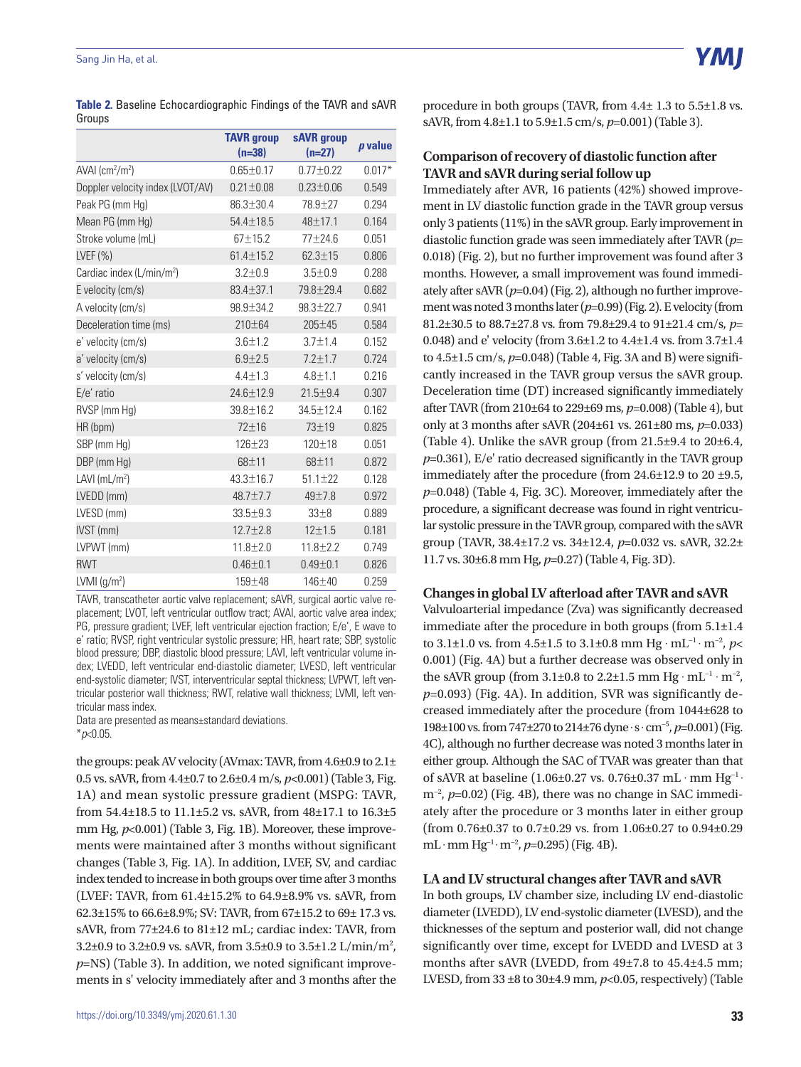#### Sang Jin Ha, et al.

**Table 2.** Baseline Echocardiographic Findings of the TAVR and sAVR Groups

|                                           | <b>TAVR</b> group<br>$(n=38)$ | sAVR group<br>$(n=27)$ | p value  |
|-------------------------------------------|-------------------------------|------------------------|----------|
| $AVAI$ (cm <sup>2</sup> /m <sup>2</sup> ) | $0.65 \pm 0.17$               | $0.77 + 0.22$          | $0.017*$ |
| Doppler velocity index (LVOT/AV)          | $0.21 \pm 0.08$               | $0.23 \pm 0.06$        | 0.549    |
| Peak PG (mm Hq)                           | 86.3±30.4                     | 78.9±27                | 0.294    |
| Mean PG (mm Hg)                           | $54.4 \pm 18.5$               | 48±17.1                | 0.164    |
| Stroke volume (mL)                        | $67 + 15.2$                   | $77 + 24.6$            | 0.051    |
| LVEF $(% )$                               | $61.4 \pm 15.2$               | $62.3 \pm 15$          | 0.806    |
| Cardiac index (L/min/m <sup>2</sup> )     | $3.2 + 0.9$                   | $3.5 + 0.9$            | 0.288    |
| E velocity (cm/s)                         | $83.4 + 37.1$                 | 79.8±29.4              | 0.682    |
| A velocity (cm/s)                         | 98.9±34.2                     | $98.3 \pm 22.7$        | 0.941    |
| Deceleration time (ms)                    | 210±64                        | $205 + 45$             | 0.584    |
| e' velocity (cm/s)                        | $3.6 + 1.2$                   | $3.7 + 1.4$            | 0.152    |
| a' velocity (cm/s)                        | $6.9 + 2.5$                   | $7.2 + 1.7$            | 0.724    |
| s' velocity (cm/s)                        | $4.4 + 1.3$                   | $4.8 + 1.1$            | 0.216    |
| E/e' ratio                                | 24.6±12.9                     | $21.5 + 9.4$           | 0.307    |
| RVSP (mm Hg)                              | 39.8±16.2                     | 34.5±12.4              | 0.162    |
| HR (bpm)                                  | $72 + 16$                     | 73±19                  | 0.825    |
| SBP (mm Hg)                               | $126 + 23$                    | $120 + 18$             | 0.051    |
| DBP (mm Hg)                               | 68±11                         | 68±11                  | 0.872    |
| LAVI $(mL/m2)$                            | $43.3 \pm 16.7$               | $51.1 \pm 22$          | 0.128    |
| LVEDD (mm)                                | $48.7 + 7.7$                  | $49 + 7.8$             | 0.972    |
| LVESD (mm)                                | $33.5 + 9.3$                  | $33\pm8$               | 0.889    |
| IVST (mm)                                 | $12.7 \pm 2.8$                | 12±1.5                 | 0.181    |
| LVPWT (mm)                                | $11.8 \pm 2.0$                | $11.8 \pm 2.2$         | 0.749    |
| <b>RWT</b>                                | $0.46 \pm 0.1$                | $0.49 \pm 0.1$         | 0.826    |
| LVMI (g/m <sup>2</sup> )                  | 159±48                        | 146±40                 | 0.259    |

TAVR, transcatheter aortic valve replacement; sAVR, surgical aortic valve replacement; LVOT, left ventricular outflow tract; AVAI, aortic valve area index; PG, pressure gradient; LVEF, left ventricular ejection fraction; E/e', E wave to e' ratio; RVSP, right ventricular systolic pressure; HR, heart rate; SBP, systolic blood pressure; DBP, diastolic blood pressure; LAVI, left ventricular volume index; LVEDD, left ventricular end-diastolic diameter; LVESD, left ventricular end-systolic diameter; IVST, interventricular septal thickness; LVPWT, left ventricular posterior wall thickness; RWT, relative wall thickness; LVMI, left ventricular mass index.

Data are presented as means±standard deviations. \**p*<0.05.

the groups: peak AV velocity (AVmax: TAVR, from 4.6±0.9 to 2.1± 0.5 vs. sAVR, from 4.4±0.7 to 2.6±0.4 m/s, *p*<0.001) (Table 3, Fig. 1A) and mean systolic pressure gradient (MSPG: TAVR, from 54.4±18.5 to 11.1±5.2 vs. sAVR, from 48±17.1 to 16.3±5 mm Hg,  $p<0.001$ ) (Table 3, Fig. 1B). Moreover, these improvements were maintained after 3 months without significant changes (Table 3, Fig. 1A). In addition, LVEF, SV, and cardiac index tended to increase in both groups over time after 3 months (LVEF: TAVR, from 61.4±15.2% to 64.9±8.9% vs. sAVR, from 62.3±15% to 66.6±8.9%; SV: TAVR, from 67±15.2 to 69± 17.3 vs. sAVR, from 77±24.6 to 81±12 mL; cardiac index: TAVR, from 3.2 $\pm$ 0.9 to 3.2 $\pm$ 0.9 vs. sAVR, from 3.5 $\pm$ 0.9 to 3.5 $\pm$ 1.2 L/min/m<sup>2</sup>, *p*=NS) (Table 3). In addition, we noted significant improvements in s' velocity immediately after and 3 months after the procedure in both groups (TAVR, from 4.4± 1.3 to 5.5±1.8 vs. sAVR, from 4.8±1.1 to 5.9±1.5 cm/s, *p*=0.001) (Table 3).

## **Comparison of recovery of diastolic function after TAVR and sAVR during serial follow up**

Immediately after AVR, 16 patients (42%) showed improvement in LV diastolic function grade in the TAVR group versus only 3 patients (11%) in the sAVR group. Early improvement in diastolic function grade was seen immediately after TAVR (*p*= 0.018) (Fig. 2), but no further improvement was found after 3 months. However, a small improvement was found immediately after sAVR (*p*=0.04) (Fig. 2), although no further improvement was noted 3 months later (*p*=0.99) (Fig. 2). E velocity (from 81.2±30.5 to 88.7±27.8 vs. from 79.8±29.4 to 91±21.4 cm/s, *p*= 0.048) and e' velocity (from 3.6±1.2 to 4.4±1.4 vs. from 3.7±1.4 to 4.5±1.5 cm/s, *p*=0.048) (Table 4, Fig. 3A and B) were significantly increased in the TAVR group versus the sAVR group. Deceleration time (DT) increased significantly immediately after TAVR (from 210±64 to 229±69 ms, *p*=0.008) (Table 4), but only at 3 months after sAVR (204±61 vs. 261±80 ms, *p*=0.033) (Table 4). Unlike the sAVR group (from  $21.5\pm9.4$  to  $20\pm6.4$ , *p*=0.361), E/e' ratio decreased significantly in the TAVR group immediately after the procedure (from 24.6±12.9 to 20 ±9.5, *p*=0.048) (Table 4, Fig. 3C). Moreover, immediately after the procedure, a significant decrease was found in right ventricular systolic pressure in the TAVR group, compared with the sAVR group (TAVR, 38.4±17.2 vs. 34±12.4, *p*=0.032 vs. sAVR, 32.2± 11.7 vs. 30±6.8 mm Hg, *p*=0.27) (Table 4, Fig. 3D).

#### **Changes in global LV afterload after TAVR and sAVR**

Valvuloarterial impedance (Zva) was significantly decreased immediate after the procedure in both groups (from 5.1±1.4 to 3.1±1.0 vs. from 4.5±1.5 to 3.1±0.8 mm Hg  $\cdot$  mL<sup>-1</sup> $\cdot$  m<sup>-2</sup>, *p*< 0.001) (Fig. 4A) but a further decrease was observed only in the sAVR group (from 3.1±0.8 to 2.2±1.5 mm Hg  $\cdot$  mL<sup>-1</sup>  $\cdot$  m<sup>-2</sup>, *p*=0.093) (Fig. 4A). In addition, SVR was significantly decreased immediately after the procedure (from 1044±628 to 198±100 vs. from 747±270 to 214±76 dyne · s · cm<sup>-5</sup>, *p*=0.001) (Fig. 4C), although no further decrease was noted 3 months later in either group. Although the SAC of TVAR was greater than that of sAVR at baseline (1.06±0.27 vs. 0.76±0.37 mL · mm Hg<sup>-1</sup> · m<sup>-2</sup>, *p*=0.02) (Fig. 4B), there was no change in SAC immediately after the procedure or 3 months later in either group (from 0.76±0.37 to 0.7±0.29 vs. from 1.06±0.27 to 0.94±0.29 mL . mm Hg−1 . m−2, *p*=0.295) (Fig. 4B).

## **LA and LV structural changes after TAVR and sAVR**

In both groups, LV chamber size, including LV end-diastolic diameter (LVEDD), LV end-systolic diameter (LVESD), and the thicknesses of the septum and posterior wall, did not change significantly over time, except for LVEDD and LVESD at 3 months after sAVR (LVEDD, from 49±7.8 to 45.4±4.5 mm; LVESD, from  $33 \pm 8$  to  $30 \pm 4.9$  mm,  $p < 0.05$ , respectively) (Table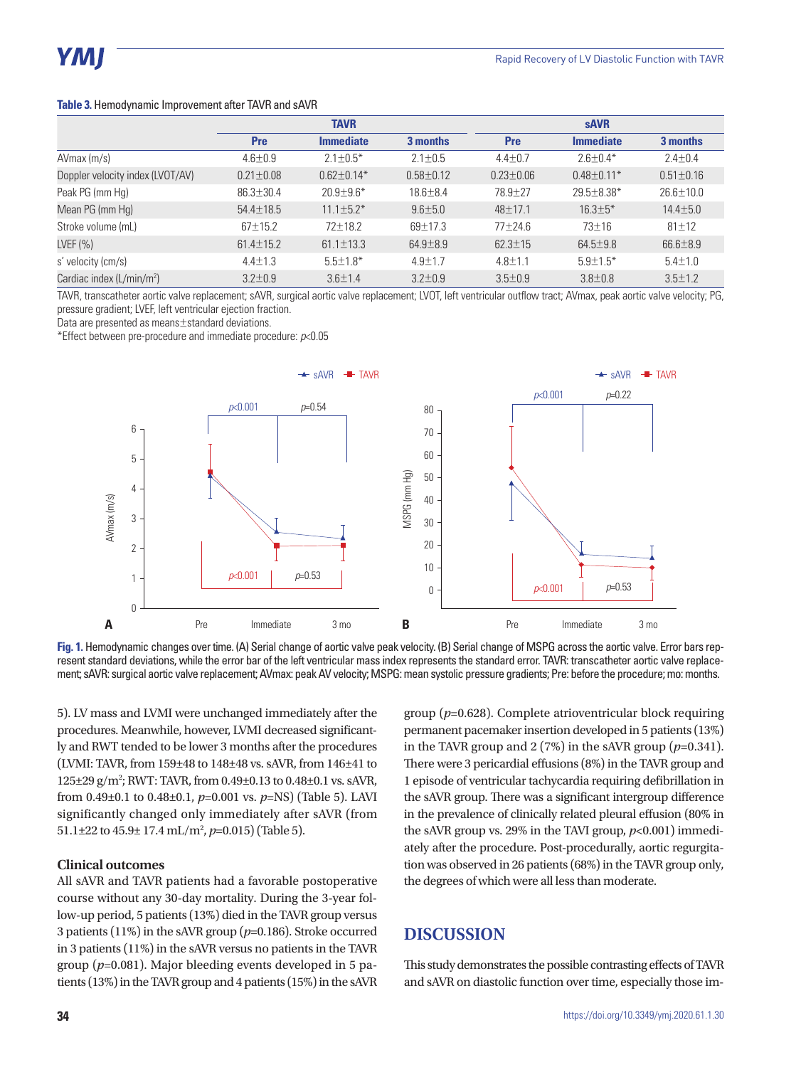| <b>Table 3. Hemodynamic Improvement after TAVR and sAVR</b> |
|-------------------------------------------------------------|
|-------------------------------------------------------------|

|                                  | <b>TAVR</b>     |                  |                 | <b>sAVR</b>     |                  |                 |
|----------------------------------|-----------------|------------------|-----------------|-----------------|------------------|-----------------|
|                                  | <b>Pre</b>      | <b>Immediate</b> | 3 months        | <b>Pre</b>      | <b>Immediate</b> | 3 months        |
| $A V$ max $(m/s)$                | $4.6 \pm 0.9$   | $2.1 \pm 0.5^*$  | $2.1 \pm 0.5$   | $4.4 \pm 0.7$   | $2.6 \pm 0.4*$   | $2.4 \pm 0.4$   |
| Doppler velocity index (LVOT/AV) | $0.21 \pm 0.08$ | $0.62 \pm 0.14*$ | $0.58 \pm 0.12$ | $0.23 \pm 0.06$ | $0.48 \pm 0.11*$ | $0.51 \pm 0.16$ |
| Peak PG (mm Hg)                  | $86.3 \pm 30.4$ | $20.9 \pm 9.6*$  | $18.6 \pm 8.4$  | 78.9 ± 27       | 29.5±8.38*       | $26.6 \pm 10.0$ |
| Mean PG (mm Hg)                  | $54.4 \pm 18.5$ | $11.1 \pm 5.2*$  | $9.6 \pm 5.0$   | 48±17.1         | $16.3 \pm 5*$    | $14.4 \pm 5.0$  |
| Stroke volume (mL)               | $67 \pm 15.2$   | $72 \pm 18.2$    | 69±17.3         | $77+24.6$       | $73 \pm 16$      | $81 \pm 12$     |
| LVEF (%)                         | $61.4 \pm 15.2$ | $61.1 \pm 13.3$  | $64.9 \pm 8.9$  | $62.3 \pm 15$   | $64.5 \pm 9.8$   | $66.6 \pm 8.9$  |
| s' velocity (cm/s)               | $4.4 \pm 1.3$   | $5.5 \pm 1.8^*$  | $4.9 \pm 1.7$   | $4.8 \pm 1.1$   | $5.9 \pm 1.5^*$  | $5.4 \pm 1.0$   |
| Cardiac index $(L/min/m2)$       | $3.2 + 0.9$     | $3.6 + 1.4$      | $3.2 + 0.9$     | $3.5 + 0.9$     | $3.8 + 0.8$      | $3.5 + 1.2$     |

TAVR, transcatheter aortic valve replacement; sAVR, surgical aortic valve replacement; LVOT, left ventricular outflow tract; AVmax, peak aortic valve velocity; PG, pressure gradient; LVEF, left ventricular ejection fraction.

Data are presented as means±standard deviations.

\*Effect between pre-procedure and immediate procedure: *p*<0.05



**Fig. 1.** Hemodynamic changes over time. (A) Serial change of aortic valve peak velocity. (B) Serial change of MSPG across the aortic valve. Error bars represent standard deviations, while the error bar of the left ventricular mass index represents the standard error. TAVR: transcatheter aortic valve replacement; sAVR: surgical aortic valve replacement; AVmax: peak AV velocity; MSPG: mean systolic pressure gradients; Pre: before the procedure; mo: months.

5). LV mass and LVMI were unchanged immediately after the procedures. Meanwhile, however, LVMI decreased significantly and RWT tended to be lower 3 months after the procedures (LVMI: TAVR, from 159±48 to 148±48 vs. sAVR, from 146±41 to 125±29 g/m<sup>2</sup>; RWT: TAVR, from 0.49±0.13 to 0.48±0.1 vs. sAVR, from 0.49±0.1 to 0.48±0.1, *p*=0.001 vs. *p*=NS) (Table 5). LAVI significantly changed only immediately after sAVR (from 51.1 $\pm$ 22 to 45.9 $\pm$  17.4 mL/m<sup>2</sup>, p=0.015) (Table 5).

## **Clinical outcomes**

All sAVR and TAVR patients had a favorable postoperative course without any 30-day mortality. During the 3-year follow-up period, 5 patients (13%) died in the TAVR group versus 3 patients (11%) in the sAVR group (*p*=0.186). Stroke occurred in 3 patients (11%) in the sAVR versus no patients in the TAVR group (*p*=0.081). Major bleeding events developed in 5 patients (13%) in the TAVR group and 4 patients (15%) in the sAVR

group (*p*=0.628). Complete atrioventricular block requiring permanent pacemaker insertion developed in 5 patients (13%) in the TAVR group and  $2(7\%)$  in the sAVR group  $(p=0.341)$ . There were 3 pericardial effusions (8%) in the TAVR group and 1 episode of ventricular tachycardia requiring defibrillation in the sAVR group. There was a significant intergroup difference in the prevalence of clinically related pleural effusion (80% in the sAVR group vs. 29% in the TAVI group, *p*<0.001) immediately after the procedure. Post-procedurally, aortic regurgitation was observed in 26 patients (68%) in the TAVR group only, the degrees of which were all less than moderate.

## **DISCUSSION**

This study demonstrates the possible contrasting effects of TAVR and sAVR on diastolic function over time, especially those im-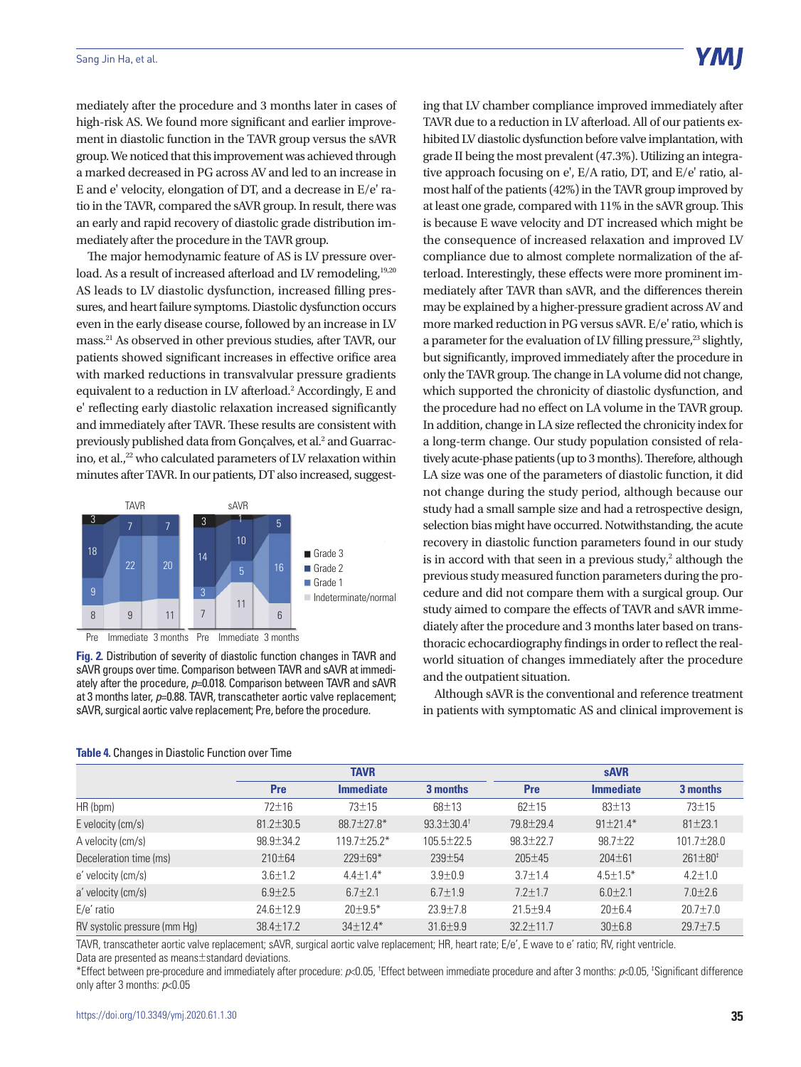Y MI

mediately after the procedure and 3 months later in cases of high-risk AS. We found more significant and earlier improvement in diastolic function in the TAVR group versus the sAVR group. We noticed that this improvement was achieved through a marked decreased in PG across AV and led to an increase in E and e' velocity, elongation of DT, and a decrease in E/e' ratio in the TAVR, compared the sAVR group. In result, there was an early and rapid recovery of diastolic grade distribution immediately after the procedure in the TAVR group.

The major hemodynamic feature of AS is LV pressure overload. As a result of increased afterload and LV remodeling,<sup>19,20</sup> AS leads to LV diastolic dysfunction, increased filling pressures, and heart failure symptoms. Diastolic dysfunction occurs even in the early disease course, followed by an increase in LV mass.21 As observed in other previous studies, after TAVR, our patients showed significant increases in effective orifice area with marked reductions in transvalvular pressure gradients equivalent to a reduction in LV afterload.<sup>2</sup> Accordingly, E and e' reflecting early diastolic relaxation increased significantly and immediately after TAVR. These results are consistent with previously published data from Gonçalves, et al.<sup>2</sup> and Guarracino, et al., $^{22}$  who calculated parameters of LV relaxation within minutes after TAVR. In our patients, DT also increased, suggest-



**Fig. 2.** Distribution of severity of diastolic function changes in TAVR and sAVR groups over time. Comparison between TAVR and sAVR at immediately after the procedure, *p*=0.018. Comparison between TAVR and sAVR at 3 months later, *p*=0.88. TAVR, transcatheter aortic valve replacement; sAVR, surgical aortic valve replacement; Pre, before the procedure.

| ing that LV chamber compliance improved immediately after                      |
|--------------------------------------------------------------------------------|
| TAVR due to a reduction in LV afterload. All of our patients ex-               |
| hibited LV diastolic dysfunction before valve implantation, with               |
| grade II being the most prevalent (47.3%). Utilizing an integra-               |
| tive approach focusing on e', E/A ratio, DT, and E/e' ratio, al-               |
| most half of the patients (42%) in the TAVR group improved by                  |
| at least one grade, compared with 11% in the sAVR group. This                  |
| is because E wave velocity and DT increased which might be                     |
| the consequence of increased relaxation and improved LV                        |
| compliance due to almost complete normalization of the af-                     |
| terload. Interestingly, these effects were more prominent im-                  |
| mediately after TAVR than sAVR, and the differences therein                    |
| may be explained by a higher-pressure gradient across AV and                   |
| more marked reduction in PG versus sAVR. E/e' ratio, which is                  |
| a parameter for the evaluation of LV filling pressure, <sup>23</sup> slightly, |
| but significantly, improved immediately after the procedure in                 |
| only the TAVR group. The change in LA volume did not change,                   |
| which supported the chronicity of diastolic dysfunction, and                   |
| the procedure had no effect on LA volume in the TAVR group.                    |
| In addition, change in LA size reflected the chronicity index for              |
| a long-term change. Our study population consisted of rela-                    |
| tively acute-phase patients (up to 3 months). Therefore, although              |
| LA size was one of the parameters of diastolic function, it did                |
| not change during the study period, although because our                       |
| study had a small sample size and had a retrospective design,                  |
| selection bias might have occurred. Notwithstanding, the acute                 |
| recovery in diastolic function parameters found in our study                   |
| is in accord with that seen in a previous study, <sup>2</sup> although the     |
| previous study measured function parameters during the pro-                    |
| cedure and did not compare them with a surgical group. Our                     |
| study aimed to compare the effects of TAVR and sAVR imme-                      |
| diately after the procedure and 3 months later based on trans-                 |
| thoracic echocardiography findings in order to reflect the real-               |
| world situation of changes immediately after the procedure                     |

Although sAVR is the conventional and reference treatment in patients with symptomatic AS and clinical improvement is

and the outpatient situation.

| ີ                            |                 |                   |                           |                 |                  |                      |  |
|------------------------------|-----------------|-------------------|---------------------------|-----------------|------------------|----------------------|--|
|                              |                 | <b>TAVR</b>       |                           |                 | <b>sAVR</b>      |                      |  |
|                              | <b>Pre</b>      | <b>Immediate</b>  | 3 months                  | <b>Pre</b>      | <b>Immediate</b> | 3 months             |  |
| HR(bpm)                      | $72 + 16$       | $73 + 15$         | $68 + 13$                 | $62 + 15$       | $83 + 13$        | $73 + 15$            |  |
| E velocity (cm/s)            | $81.2 \pm 30.5$ | $88.7 \pm 27.8^*$ | $93.3 \pm 30.4^{\dagger}$ | 79.8 ± 29.4     | $91 \pm 21.4*$   | $81 \pm 23.1$        |  |
| A velocity (cm/s)            | $98.9 \pm 34.2$ | $119.7 + 25.2*$   | $105.5 \pm 22.5$          | $98.3 + 22.7$   | $98.7 + 22$      | $101.7 + 28.0$       |  |
| Deceleration time (ms)       | $210 \pm 64$    | $229 \pm 69*$     | $239 + 54$                | $205 + 45$      | $204 + 61$       | $261 \pm 80^{\circ}$ |  |
| e' velocity (cm/s)           | $3.6 + 1.2$     | $4.4 + 1.4*$      | $3.9 + 0.9$               | $3.7 + 1.4$     | $4.5 \pm 1.5^*$  | $4.2 + 1.0$          |  |
| a' velocity (cm/s)           | $6.9 \pm 2.5$   | $6.7 + 2.1$       | $6.7 + 1.9$               | $7.2 + 1.7$     | $6.0 + 2.1$      | $7.0 \pm 2.6$        |  |
| $E/e'$ ratio                 | $24.6 + 12.9$   | $20+9.5*$         | $23.9 + 7.8$              | $21.5 + 9.4$    | $20 \pm 6.4$     | $20.7 + 7.0$         |  |
| RV systolic pressure (mm Hg) | $38.4 \pm 17.2$ | $34 \pm 12.4*$    | $31.6 \pm 9.9$            | $32.2 \pm 11.7$ | 30±6.8           | $29.7 \pm 7.5$       |  |

#### **Table 4.** Changes in Diastolic Function over Time

TAVR, transcatheter aortic valve replacement; sAVR, surgical aortic valve replacement; HR, heart rate; E/e', E wave to e' ratio; RV, right ventricle. Data are presented as means±standard deviations.

\*Effect between pre-procedure and immediately after procedure: *p*<0.05, <sup>†</sup>Effect between immediate procedure and after 3 months: *p*<0.05, <sup>‡</sup>Significant difference only after 3 months: *p*<0.05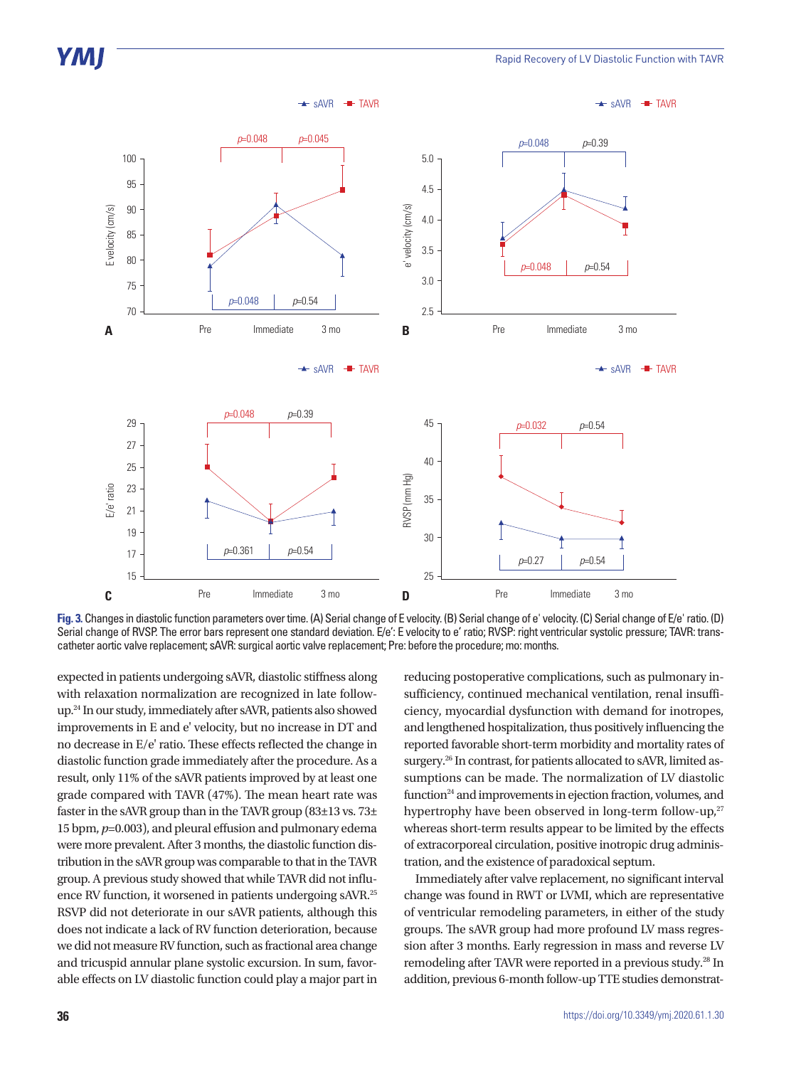

**Fig. 3.** Changes in diastolic function parameters over time. (A) Serial change of E velocity. (B) Serial change of e' velocity. (C) Serial change of E/e' ratio. (D) Serial change of RVSP. The error bars represent one standard deviation. E/e': E velocity to e' ratio; RVSP: right ventricular systolic pressure; TAVR: transcatheter aortic valve replacement; sAVR: surgical aortic valve replacement; Pre: before the procedure; mo: months.

expected in patients undergoing sAVR, diastolic stiffness along with relaxation normalization are recognized in late followup.24 In our study, immediately after sAVR, patients also showed improvements in E and e' velocity, but no increase in DT and no decrease in E/e' ratio. These effects reflected the change in diastolic function grade immediately after the procedure. As a result, only 11% of the sAVR patients improved by at least one grade compared with TAVR (47%). The mean heart rate was faster in the sAVR group than in the TAVR group  $(83\pm13 \text{ vs. } 73\pm$ 15 bpm, *p*=0.003), and pleural effusion and pulmonary edema were more prevalent. After 3 months, the diastolic function distribution in the sAVR group was comparable to that in the TAVR group. A previous study showed that while TAVR did not influence RV function, it worsened in patients undergoing sAVR.25 RSVP did not deteriorate in our sAVR patients, although this does not indicate a lack of RV function deterioration, because we did not measure RV function, such as fractional area change and tricuspid annular plane systolic excursion. In sum, favorable effects on LV diastolic function could play a major part in

reducing postoperative complications, such as pulmonary insufficiency, continued mechanical ventilation, renal insufficiency, myocardial dysfunction with demand for inotropes, and lengthened hospitalization, thus positively influencing the reported favorable short-term morbidity and mortality rates of surgery.<sup>26</sup> In contrast, for patients allocated to sAVR, limited assumptions can be made. The normalization of LV diastolic function<sup>24</sup> and improvements in ejection fraction, volumes, and hypertrophy have been observed in long-term follow-up,<sup>27</sup> whereas short-term results appear to be limited by the effects of extracorporeal circulation, positive inotropic drug administration, and the existence of paradoxical septum.

Immediately after valve replacement, no significant interval change was found in RWT or LVMI, which are representative of ventricular remodeling parameters, in either of the study groups. The sAVR group had more profound LV mass regression after 3 months. Early regression in mass and reverse LV remodeling after TAVR were reported in a previous study.28 In addition, previous 6-month follow-up TTE studies demonstrat-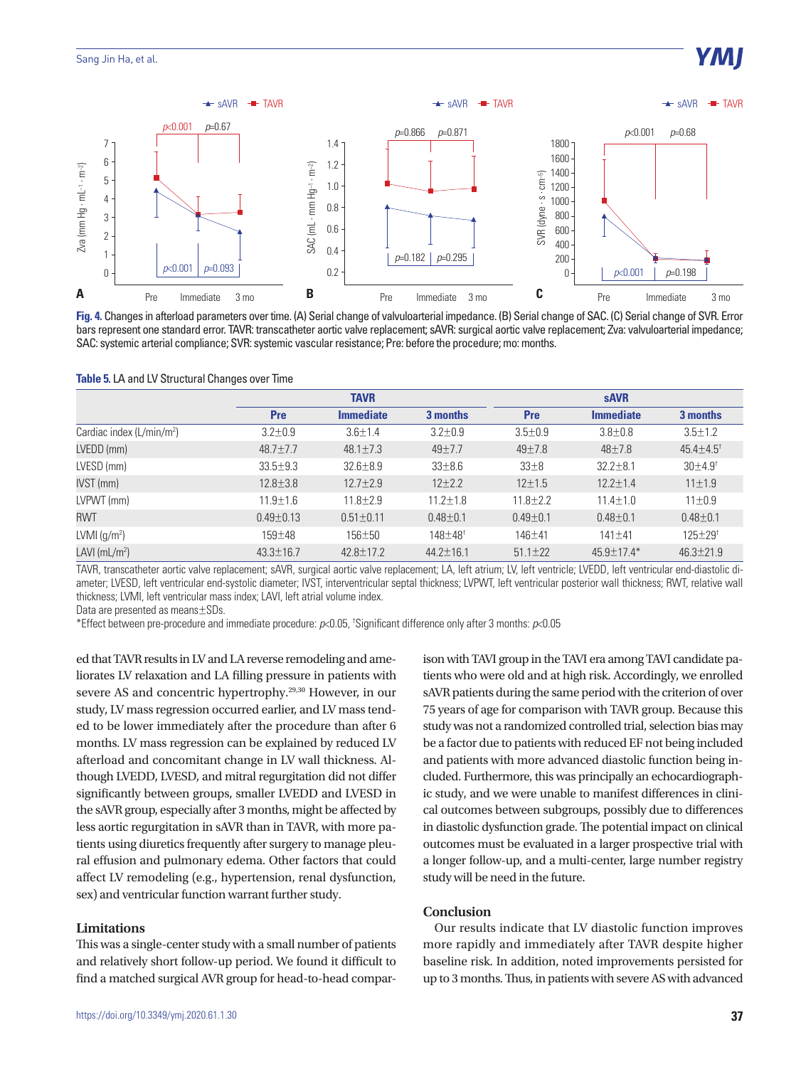



|                            | <b>TAVR</b>     |                  |                         | <b>sAVR</b>    |                  |                             |
|----------------------------|-----------------|------------------|-------------------------|----------------|------------------|-----------------------------|
|                            | Pre             | <b>Immediate</b> | 3 months                | <b>Pre</b>     | <b>Immediate</b> | 3 months                    |
| Cardiac index $(L/min/m2)$ | $3.2 \pm 0.9$   | $3.6 + 1.4$      | $3.2 + 0.9$             | $3.5 + 0.9$    | $3.8 + 0.8$      | $3.5 \pm 1.2$               |
| LVEDD (mm)                 | $48.7 \pm 7.7$  | $48.1 \pm 7.3$   | 49±7.7                  | 49±7.8         | 48±7.8           | $45.4 \pm 4.5$ <sup>†</sup> |
| LVESD (mm)                 | $33.5 \pm 9.3$  | $32.6 \pm 8.9$   | $33\pm8.6$              | $33\pm8$       | $32.2 \pm 8.1$   | $30\pm 4.9^{\dagger}$       |
| IVST (mm)                  | $12.8 \pm 3.8$  | $12.7 \pm 2.9$   | $12+2.2$                | $12 \pm 1.5$   | $12.2 \pm 1.4$   | 11±1.9                      |
| LVPWT (mm)                 | $11.9 \pm 1.6$  | $11.8 \pm 2.9$   | $11.2 \pm 1.8$          | $11.8 \pm 2.2$ | $11.4 \pm 1.0$   | $11 \pm 0.9$                |
| <b>RWT</b>                 | $0.49 + 0.13$   | $0.51 \pm 0.11$  | $0.48 + 0.1$            | $0.49 + 0.1$   | $0.48 + 0.1$     | $0.48 + 0.1$                |
| LVMI $(g/m2)$              | $159 + 48$      | $156 + 50$       | $148 + 48$ <sup>†</sup> | $146 + 41$     | $141 + 41$       | $125 + 29$ <sup>t</sup>     |
| LAVI ( $mL/m2$ )           | $43.3 \pm 16.7$ | $42.8 \pm 17.2$  | $44.2 \pm 16.1$         | $51.1 \pm 22$  | $45.9 \pm 17.4*$ | $46.3 \pm 21.9$             |

**Table 5.** LA and LV Structural Changes over Time

TAVR, transcatheter aortic valve replacement; sAVR, surgical aortic valve replacement; LA, left atrium; LV, left ventricle; LVEDD, left ventricular end-diastolic diameter; LVESD, left ventricular end-systolic diameter; IVST, interventricular septal thickness; LVPWT, left ventricular posterior wall thickness; RWT, relative wall thickness; LVMI, left ventricular mass index; LAVI, left atrial volume index.

Data are presented as means±SDs.

\*Effect between pre-procedure and immediate procedure: *p*<0.05, † Significant difference only after 3 months: *p*<0.05

ed that TAVR results in LV and LA reverse remodeling and ameliorates LV relaxation and LA filling pressure in patients with severe AS and concentric hypertrophy.29,30 However, in our study, LV mass regression occurred earlier, and LV mass tended to be lower immediately after the procedure than after 6 months. LV mass regression can be explained by reduced LV afterload and concomitant change in LV wall thickness. Although LVEDD, LVESD, and mitral regurgitation did not differ significantly between groups, smaller LVEDD and LVESD in the sAVR group, especially after 3 months, might be affected by less aortic regurgitation in sAVR than in TAVR, with more patients using diuretics frequently after surgery to manage pleural effusion and pulmonary edema. Other factors that could affect LV remodeling (e.g., hypertension, renal dysfunction, sex) and ventricular function warrant further study.

## **Limitations**

This was a single-center study with a small number of patients and relatively short follow-up period. We found it difficult to find a matched surgical AVR group for head-to-head comparison with TAVI group in the TAVI era among TAVI candidate patients who were old and at high risk. Accordingly, we enrolled sAVR patients during the same period with the criterion of over 75 years of age for comparison with TAVR group. Because this study was not a randomized controlled trial, selection bias may be a factor due to patients with reduced EF not being included and patients with more advanced diastolic function being included. Furthermore, this was principally an echocardiographic study, and we were unable to manifest differences in clinical outcomes between subgroups, possibly due to differences in diastolic dysfunction grade. The potential impact on clinical outcomes must be evaluated in a larger prospective trial with a longer follow-up, and a multi-center, large number registry study will be need in the future.

## **Conclusion**

Our results indicate that LV diastolic function improves more rapidly and immediately after TAVR despite higher baseline risk. In addition, noted improvements persisted for up to 3 months. Thus, in patients with severe AS with advanced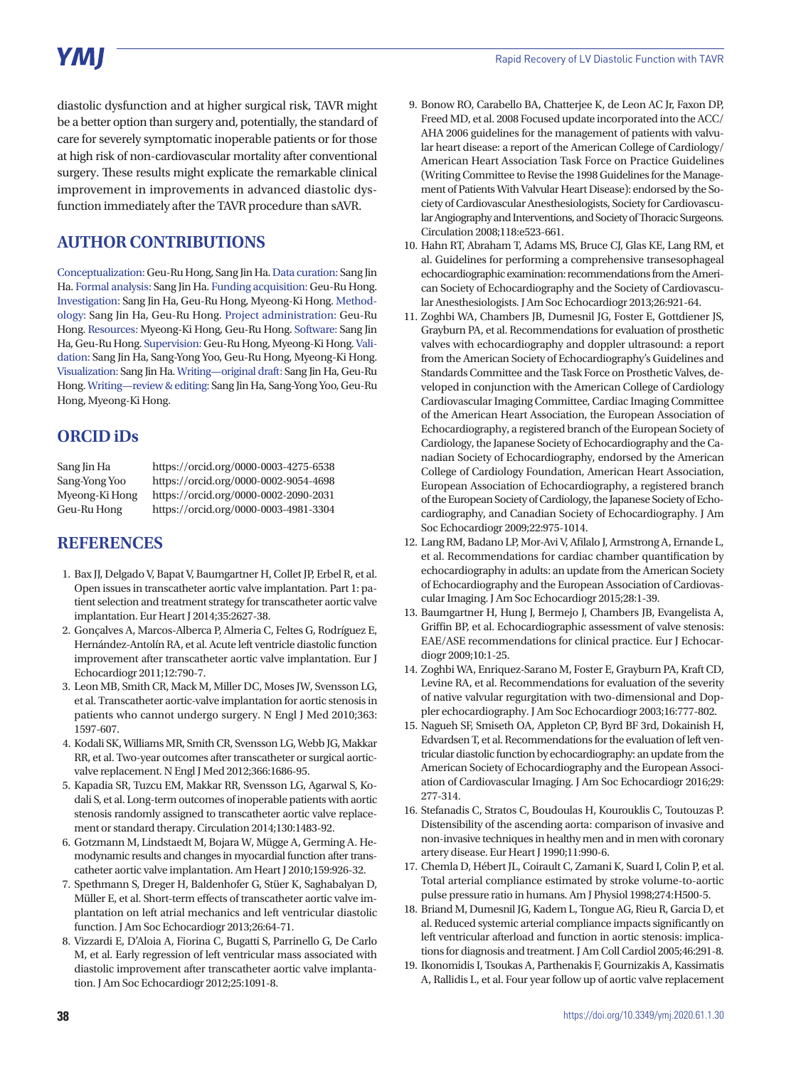# **YMI**

diastolic dysfunction and at higher surgical risk, TAVR might be a better option than surgery and, potentially, the standard of care for severely symptomatic inoperable patients or for those at high risk of non-cardiovascular mortality after conventional surgery. These results might explicate the remarkable clinical improvement in improvements in advanced diastolic dysfunction immediately after the TAVR procedure than sAVR.

# **AUTHOR CONTRIBUTIONS**

Conceptualization: Geu-Ru Hong, Sang Jin Ha. Data curation: Sang Jin Ha. Formal analysis: Sang Jin Ha. Funding acquisition: Geu-Ru Hong. Investigation: Sang Jin Ha, Geu-Ru Hong, Myeong-Ki Hong. Methodology: Sang Jin Ha, Geu-Ru Hong. Project administration: Geu-Ru Hong. Resources: Myeong-Ki Hong, Geu-Ru Hong. Software: Sang Jin Ha, Geu-Ru Hong. Supervision: Geu-Ru Hong, Myeong-Ki Hong. Validation: Sang Jin Ha, Sang-Yong Yoo, Geu-Ru Hong, Myeong-Ki Hong. Visualization: Sang Jin Ha. Writing—original draft: Sang Jin Ha, Geu-Ru Hong. Writing—review & editing: Sang Jin Ha, Sang-Yong Yoo, Geu-Ru Hong, Myeong-Ki Hong.

# **ORCID iDs**

| Sang Jin Ha    | https://orcid.org/0000-0003-4275-6538 |
|----------------|---------------------------------------|
| Sang-Yong Yoo  | https://orcid.org/0000-0002-9054-4698 |
| Myeong-Ki Hong | https://orcid.org/0000-0002-2090-2031 |
| Geu-Ru Hong    | https://orcid.org/0000-0003-4981-3304 |

# **REFERENCES**

- 1. Bax JJ, Delgado V, Bapat V, Baumgartner H, Collet JP, Erbel R, et al. Open issues in transcatheter aortic valve implantation. Part 1: patient selection and treatment strategy for transcatheter aortic valve implantation. Eur Heart J 2014;35:2627-38.
- 2. Gonçalves A, Marcos-Alberca P, Almeria C, Feltes G, Rodríguez E, Hernández-Antolín RA, et al. Acute left ventricle diastolic function improvement after transcatheter aortic valve implantation. Eur J Echocardiogr 2011;12:790-7.
- 3. Leon MB, Smith CR, Mack M, Miller DC, Moses JW, Svensson LG, et al. Transcatheter aortic-valve implantation for aortic stenosis in patients who cannot undergo surgery. N Engl J Med 2010;363: 1597-607.
- 4. Kodali SK, Williams MR, Smith CR, Svensson LG, Webb JG, Makkar RR, et al. Two-year outcomes after transcatheter or surgical aorticvalve replacement. N Engl J Med 2012;366:1686-95.
- 5. Kapadia SR, Tuzcu EM, Makkar RR, Svensson LG, Agarwal S, Kodali S, et al. Long-term outcomes of inoperable patients with aortic stenosis randomly assigned to transcatheter aortic valve replacement or standard therapy. Circulation 2014;130:1483-92.
- 6. Gotzmann M, Lindstaedt M, Bojara W, Mügge A, Germing A. Hemodynamic results and changes in myocardial function after transcatheter aortic valve implantation. Am Heart J 2010;159:926-32.
- 7. Spethmann S, Dreger H, Baldenhofer G, Stüer K, Saghabalyan D, Müller E, et al. Short-term effects of transcatheter aortic valve implantation on left atrial mechanics and left ventricular diastolic function. J Am Soc Echocardiogr 2013;26:64-71.
- 8. Vizzardi E, D'Aloia A, Fiorina C, Bugatti S, Parrinello G, De Carlo M, et al. Early regression of left ventricular mass associated with diastolic improvement after transcatheter aortic valve implantation. J Am Soc Echocardiogr 2012;25:1091-8.
- 9. Bonow RO, Carabello BA, Chatterjee K, de Leon AC Jr, Faxon DP, Freed MD, et al. 2008 Focused update incorporated into the ACC/ AHA 2006 guidelines for the management of patients with valvular heart disease: a report of the American College of Cardiology/ American Heart Association Task Force on Practice Guidelines (Writing Committee to Revise the 1998 Guidelines for the Management of Patients With Valvular Heart Disease): endorsed by the Society of Cardiovascular Anesthesiologists, Society for Cardiovascular Angiography and Interventions, and Society of Thoracic Surgeons. Circulation 2008;118:e523-661.
- 10. Hahn RT, Abraham T, Adams MS, Bruce CJ, Glas KE, Lang RM, et al. Guidelines for performing a comprehensive transesophageal echocardiographic examination: recommendations from the American Society of Echocardiography and the Society of Cardiovascular Anesthesiologists. J Am Soc Echocardiogr 2013;26:921-64.
- 11. Zoghbi WA, Chambers JB, Dumesnil JG, Foster E, Gottdiener JS, Grayburn PA, et al. Recommendations for evaluation of prosthetic valves with echocardiography and doppler ultrasound: a report from the American Society of Echocardiography's Guidelines and Standards Committee and the Task Force on Prosthetic Valves, developed in conjunction with the American College of Cardiology Cardiovascular Imaging Committee, Cardiac Imaging Committee of the American Heart Association, the European Association of Echocardiography, a registered branch of the European Society of Cardiology, the Japanese Society of Echocardiography and the Canadian Society of Echocardiography, endorsed by the American College of Cardiology Foundation, American Heart Association, European Association of Echocardiography, a registered branch of the European Society of Cardiology, the Japanese Society of Echocardiography, and Canadian Society of Echocardiography. J Am Soc Echocardiogr 2009;22:975-1014.
- 12. Lang RM, Badano LP, Mor-Avi V, Afilalo J, Armstrong A, Ernande L, et al. Recommendations for cardiac chamber quantification by echocardiography in adults: an update from the American Society of Echocardiography and the European Association of Cardiovascular Imaging. J Am Soc Echocardiogr 2015;28:1-39.
- 13. Baumgartner H, Hung J, Bermejo J, Chambers JB, Evangelista A, Griffin BP, et al. Echocardiographic assessment of valve stenosis: EAE/ASE recommendations for clinical practice. Eur J Echocardiogr 2009;10:1-25.
- 14. Zoghbi WA, Enriquez-Sarano M, Foster E, Grayburn PA, Kraft CD, Levine RA, et al. Recommendations for evaluation of the severity of native valvular regurgitation with two-dimensional and Doppler echocardiography. J Am Soc Echocardiogr 2003;16:777-802.
- 15. Nagueh SF, Smiseth OA, Appleton CP, Byrd BF 3rd, Dokainish H, Edvardsen T, et al. Recommendations for the evaluation of left ventricular diastolic function by echocardiography: an update from the American Society of Echocardiography and the European Association of Cardiovascular Imaging. J Am Soc Echocardiogr 2016;29: 277-314.
- 16. Stefanadis C, Stratos C, Boudoulas H, Kourouklis C, Toutouzas P. Distensibility of the ascending aorta: comparison of invasive and non-invasive techniques in healthy men and in men with coronary artery disease. Eur Heart J 1990;11:990-6.
- 17. Chemla D, Hébert JL, Coirault C, Zamani K, Suard I, Colin P, et al. Total arterial compliance estimated by stroke volume-to-aortic pulse pressure ratio in humans. Am J Physiol 1998;274:H500-5.
- 18. Briand M, Dumesnil JG, Kadem L, Tongue AG, Rieu R, Garcia D, et al. Reduced systemic arterial compliance impacts significantly on left ventricular afterload and function in aortic stenosis: implications for diagnosis and treatment. J Am Coll Cardiol 2005;46:291-8.
- 19. Ikonomidis I, Tsoukas A, Parthenakis F, Gournizakis A, Kassimatis A, Rallidis L, et al. Four year follow up of aortic valve replacement